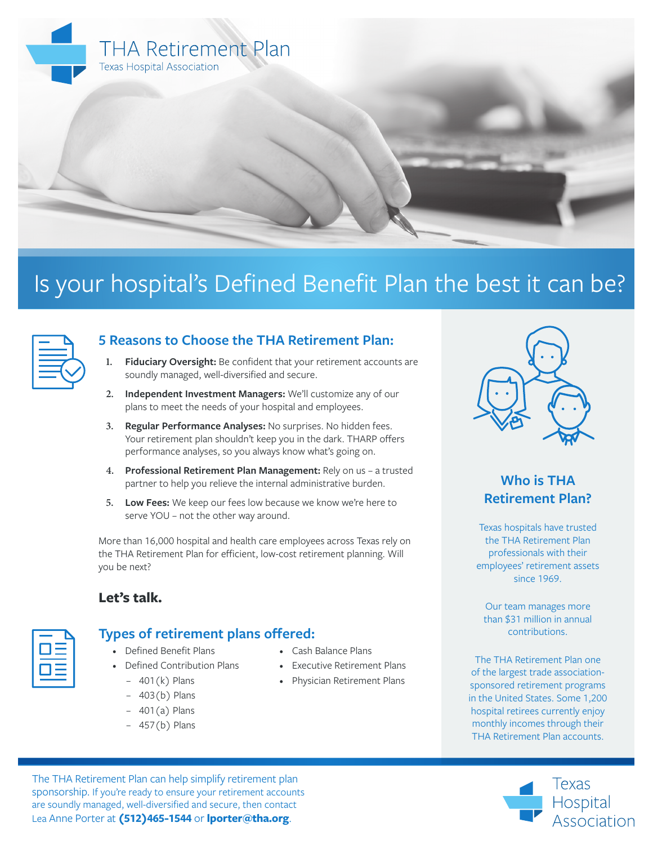

# Is your hospital's Defined Benefit Plan the best it can be?



## **5 Reasons to Choose the THA Retirement Plan:**

- **1. Fiduciary Oversight:** Be confident that your retirement accounts are soundly managed, well-diversified and secure.
- **2. Independent Investment Managers:** We'll customize any of our plans to meet the needs of your hospital and employees.
- **3. Regular Performance Analyses:** No surprises. No hidden fees. Your retirement plan shouldn't keep you in the dark. THARP offers performance analyses, so you always know what's going on.
- **4. Professional Retirement Plan Management:** Rely on us a trusted partner to help you relieve the internal administrative burden.
- **5. Low Fees:** We keep our fees low because we know we're here to serve YOU – not the other way around.

More than 16,000 hospital and health care employees across Texas rely on the THA Retirement Plan for efficient, low-cost retirement planning. Will you be next?

### **Let's talk.**



## **Types of retirement plans offered:**

- Defined Benefit Plans • Defined Contribution Plans
	- 401(k) Plans
	- 403(b) Plans
	-
	- $-401(a)$  Plans
	- 457(b) Plans
- Cash Balance Plans
- Executive Retirement Plans
- Physician Retirement Plans



# **Who is THA Retirement Plan?**

Texas hospitals have trusted the THA Retirement Plan professionals with their employees' retirement assets since 1969.

Our team manages more than \$31 million in annual contributions.

The THA Retirement Plan one of the largest trade associationsponsored retirement programs in the United States. Some 1,200 hospital retirees currently enjoy monthly incomes through their THA Retirement Plan accounts.



The THA Retirement Plan can help simplify retirement plan sponsorship. If you're ready to ensure your retirement accounts are soundly managed, well-diversified and secure, then contact Lea Anne Porter at **(512)465-1544** or **lporter@tha.org**.